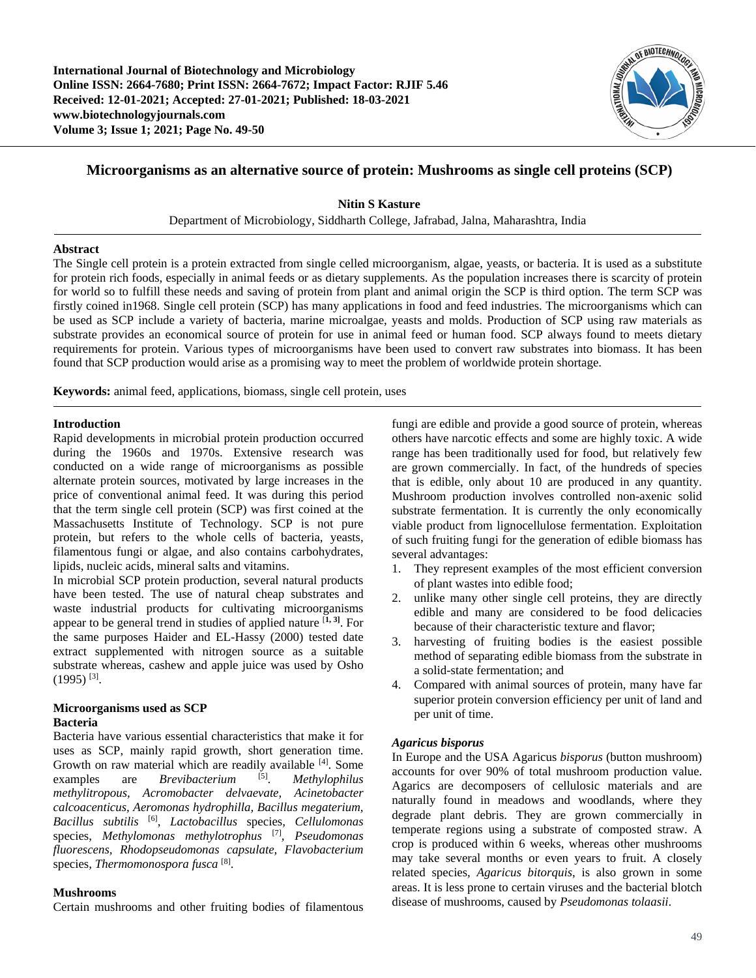**International Journal of Biotechnology and Microbiology Online ISSN: 2664-7680; Print ISSN: 2664-7672; Impact Factor: RJIF 5.46 Received: 12-01-2021; Accepted: 27-01-2021; Published: 18-03-2021 www.biotechnologyjournals.com Volume 3; Issue 1; 2021; Page No. 49-50**



# **Microorganisms as an alternative source of protein: Mushrooms as single cell proteins (SCP)**

**Nitin S Kasture**

Department of Microbiology, Siddharth College, Jafrabad, Jalna, Maharashtra, India

### **Abstract**

The Single cell protein is a protein extracted from single celled microorganism, algae, yeasts, or bacteria. It is used as a substitute for protein rich foods, especially in animal feeds or as dietary supplements. As the population increases there is scarcity of protein for world so to fulfill these needs and saving of protein from plant and animal origin the SCP is third option. The term SCP was firstly coined in1968. Single cell protein (SCP) has many applications in food and feed industries. The microorganisms which can be used as SCP include a variety of bacteria, marine microalgae, yeasts and molds. Production of SCP using raw materials as substrate provides an economical source of protein for use in animal feed or human food. SCP always found to meets dietary requirements for protein. Various types of microorganisms have been used to convert raw substrates into biomass. It has been found that SCP production would arise as a promising way to meet the problem of worldwide protein shortage.

**Keywords:** animal feed, applications, biomass, single cell protein, uses

### **Introduction**

Rapid developments in microbial protein production occurred during the 1960s and 1970s. Extensive research was conducted on a wide range of microorganisms as possible alternate protein sources, motivated by large increases in the price of conventional animal feed. It was during this period that the term single cell protein (SCP) was first coined at the Massachusetts Institute of Technology. SCP is not pure protein, but refers to the whole cells of bacteria, yeasts, filamentous fungi or algae, and also contains carbohydrates, lipids, nucleic acids, mineral salts and vitamins.

In microbial SCP protein production, several natural products have been tested. The use of natural cheap substrates and waste industrial products for cultivating microorganisms appear to be general trend in studies of applied nature [**1, 3]** . For the same purposes Haider and EL-Hassy (2000) tested date extract supplemented with nitrogen source as a suitable substrate whereas, cashew and apple juice was used by Osho  $(1995)$ <sup>[3]</sup>.

# **Microorganisms used as SCP Bacteria**

Bacteria have various essential characteristics that make it for uses as SCP, mainly rapid growth, short generation time. Growth on raw material which are readily available [4]. Some examples are *Brevibacterium* [5]. . *Methylophilus methylitropous, Acromobacter delvaevate, Acinetobacter calcoacenticus, Aeromonas hydrophilla, Bacillus megaterium, Bacillus subtilis* [6] , *Lactobacillus* species*, Cellulomonas*  species, *Methylomonas methylotrophus* [7] *, Pseudomonas fluorescens, Rhodopseudomonas capsulate, Flavobacterium*  species*, Thermomonospora fusca* [8] .

#### **Mushrooms**

Certain mushrooms and other fruiting bodies of filamentous

fungi are edible and provide a good source of protein, whereas others have narcotic effects and some are highly toxic. A wide range has been traditionally used for food, but relatively few are grown commercially. In fact, of the hundreds of species that is edible, only about 10 are produced in any quantity. Mushroom production involves controlled non-axenic solid substrate fermentation. It is currently the only economically viable product from lignocellulose fermentation. Exploitation of such fruiting fungi for the generation of edible biomass has several advantages:

- 1. They represent examples of the most efficient conversion of plant wastes into edible food;
- 2. unlike many other single cell proteins, they are directly edible and many are considered to be food delicacies because of their characteristic texture and flavor;
- 3. harvesting of fruiting bodies is the easiest possible method of separating edible biomass from the substrate in a solid-state fermentation; and
- 4. Compared with animal sources of protein, many have far superior protein conversion efficiency per unit of land and per unit of time.

#### *Agaricus bisporus*

In Europe and the USA Agaricus *bisporus* (button mushroom) accounts for over 90% of total mushroom production value. Agarics are decomposers of cellulosic materials and are naturally found in meadows and woodlands, where they degrade plant debris. They are grown commercially in temperate regions using a substrate of composted straw. A crop is produced within 6 weeks, whereas other mushrooms may take several months or even years to fruit. A closely related species, *Agaricus bitorquis*, is also grown in some areas. It is less prone to certain viruses and the bacterial blotch disease of mushrooms, caused by *Pseudomonas tolaasii*.